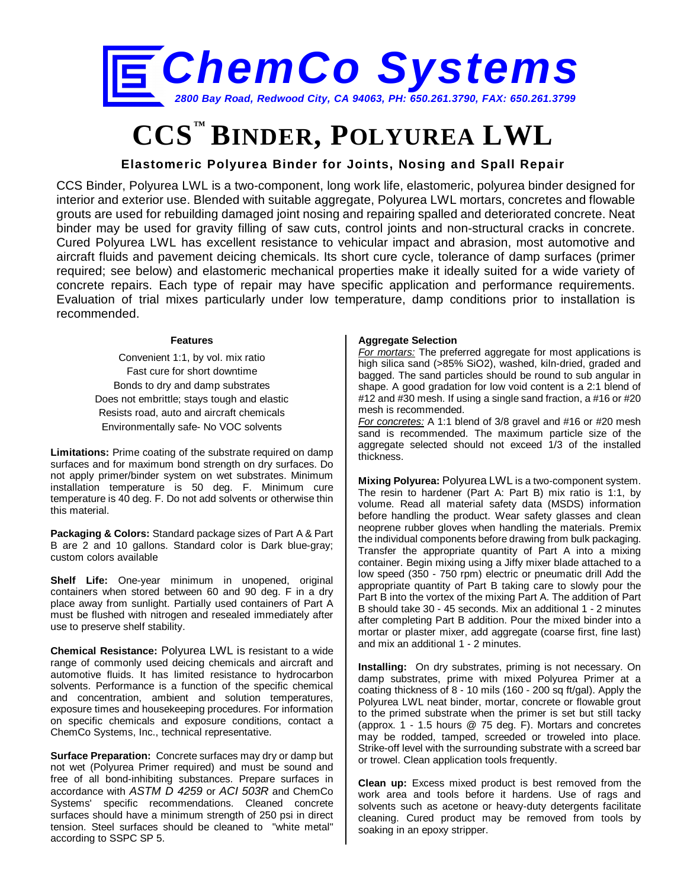

# **CCS™ BINDER, POLYUREA LWL**

### **Elastomeric Polyurea Binder for Joints, Nosing and Spall Repair**

CCS Binder, Polyurea LWL is a two-component, long work life, elastomeric, polyurea binder designed for interior and exterior use. Blended with suitable aggregate, Polyurea LWL mortars, concretes and flowable grouts are used for rebuilding damaged joint nosing and repairing spalled and deteriorated concrete. Neat binder may be used for gravity filling of saw cuts, control joints and non-structural cracks in concrete. Cured Polyurea LWL has excellent resistance to vehicular impact and abrasion, most automotive and aircraft fluids and pavement deicing chemicals. Its short cure cycle, tolerance of damp surfaces (primer required; see below) and elastomeric mechanical properties make it ideally suited for a wide variety of concrete repairs. Each type of repair may have specific application and performance requirements. Evaluation of trial mixes particularly under low temperature, damp conditions prior to installation is recommended.

#### **Features**

Convenient 1:1, by vol. mix ratio Fast cure for short downtime Bonds to dry and damp substrates Does not embrittle; stays tough and elastic Resists road, auto and aircraft chemicals Environmentally safe- No VOC solvents

**Limitations:** Prime coating of the substrate required on damp surfaces and for maximum bond strength on dry surfaces. Do not apply primer/binder system on wet substrates. Minimum installation temperature is 50 deg. F. Minimum cure temperature is 40 deg. F. Do not add solvents or otherwise thin this material.

**Packaging & Colors:** Standard package sizes of Part A & Part B are 2 and 10 gallons. Standard color is Dark blue-gray; custom colors available

**Shelf Life:** One-year minimum in unopened, original containers when stored between 60 and 90 deg. F in a dry place away from sunlight. Partially used containers of Part A must be flushed with nitrogen and resealed immediately after use to preserve shelf stability.

**Chemical Resistance:** Polyurea LWL is resistant to a wide range of commonly used deicing chemicals and aircraft and automotive fluids. It has limited resistance to hydrocarbon solvents. Performance is a function of the specific chemical and concentration, ambient and solution temperatures, exposure times and housekeeping procedures. For information on specific chemicals and exposure conditions, contact a ChemCo Systems, Inc., technical representative.

**Surface Preparation:** Concrete surfaces may dry or damp but not wet (Polyurea Primer required) and must be sound and free of all bond-inhibiting substances. Prepare surfaces in accordance with *ASTM D 4259* or *ACI 503R* and ChemCo Systems' specific recommendations. Cleaned concrete surfaces should have a minimum strength of 250 psi in direct tension. Steel surfaces should be cleaned to "white metal" according to SSPC SP 5.

#### **Aggregate Selection**

*For mortars:* The preferred aggregate for most applications is high silica sand (>85% SiO2), washed, kiln-dried, graded and bagged. The sand particles should be round to sub angular in shape. A good gradation for low void content is a 2:1 blend of #12 and #30 mesh. If using a single sand fraction, a #16 or #20 mesh is recommended.

*For concretes:* A 1:1 blend of 3/8 gravel and #16 or #20 mesh sand is recommended. The maximum particle size of the aggregate selected should not exceed 1/3 of the installed thickness.

**Mixing Polyurea:** Polyurea LWL is a two-component system. The resin to hardener (Part A: Part B) mix ratio is 1:1, by volume. Read all material safety data (MSDS) information before handling the product. Wear safety glasses and clean neoprene rubber gloves when handling the materials. Premix the individual components before drawing from bulk packaging. Transfer the appropriate quantity of Part A into a mixing container. Begin mixing using a Jiffy mixer blade attached to a low speed (350 - 750 rpm) electric or pneumatic drill Add the appropriate quantity of Part B taking care to slowly pour the Part B into the vortex of the mixing Part A. The addition of Part B should take 30 - 45 seconds. Mix an additional 1 - 2 minutes after completing Part B addition. Pour the mixed binder into a mortar or plaster mixer, add aggregate (coarse first, fine last) and mix an additional 1 - 2 minutes.

**Installing:** On dry substrates, priming is not necessary. On damp substrates, prime with mixed Polyurea Primer at a coating thickness of 8 - 10 mils (160 - 200 sq ft/gal). Apply the Polyurea LWL neat binder, mortar, concrete or flowable grout to the primed substrate when the primer is set but still tacky (approx. 1 - 1.5 hours @ 75 deg. F). Mortars and concretes may be rodded, tamped, screeded or troweled into place. Strike-off level with the surrounding substrate with a screed bar or trowel. Clean application tools frequently.

**Clean up:** Excess mixed product is best removed from the work area and tools before it hardens. Use of rags and solvents such as acetone or heavy-duty detergents facilitate cleaning. Cured product may be removed from tools by soaking in an epoxy stripper.